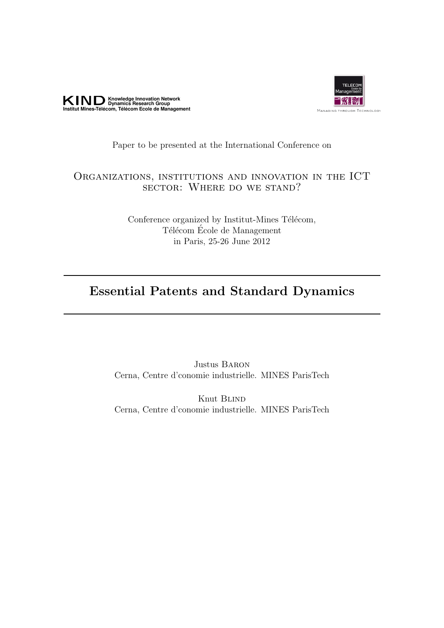



## Paper to be presented at the International Conference on

## Organizations, institutions and innovation in the ICT sector: Where do we stand?

Conference organized by Institut-Mines Télécom, Télécom École de Management in Paris, 25-26 June 2012

## Essential Patents and Standard Dynamics

Justus Baron Cerna, Centre d'conomie industrielle. MINES ParisTech

Knut Blind Cerna, Centre d'conomie industrielle. MINES ParisTech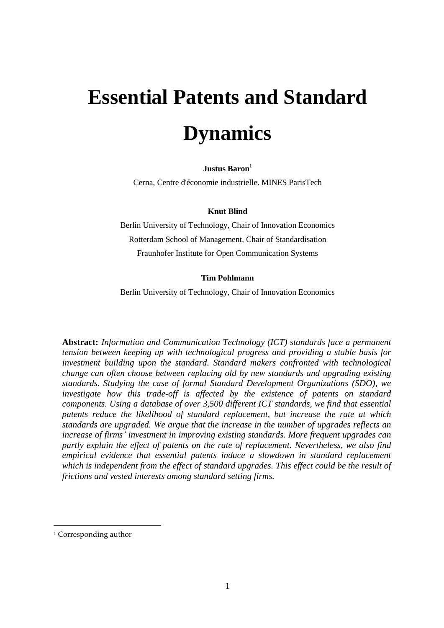# **Essential Patents and Standard**

# **Dynamics**

## **Justus Baron<sup>1</sup>**

Cerna, Centre d'économie industrielle. MINES ParisTech

#### **Knut Blind**

Berlin University of Technology, Chair of Innovation Economics Rotterdam School of Management, Chair of Standardisation Fraunhofer Institute for Open Communication Systems

#### **Tim Pohlmann**

Berlin University of Technology, Chair of Innovation Economics

**Abstract:** *Information and Communication Technology (ICT) standards face a permanent tension between keeping up with technological progress and providing a stable basis for investment building upon the standard. Standard makers confronted with technological change can often choose between replacing old by new standards and upgrading existing standards. Studying the case of formal Standard Development Organizations (SDO), we investigate how this trade-off is affected by the existence of patents on standard components. Using a database of over 3,500 different ICT standards, we find that essential patents reduce the likelihood of standard replacement, but increase the rate at which standards are upgraded. We argue that the increase in the number of upgrades reflects an increase of firms' investment in improving existing standards. More frequent upgrades can partly explain the effect of patents on the rate of replacement. Nevertheless, we also find empirical evidence that essential patents induce a slowdown in standard replacement which is independent from the effect of standard upgrades. This effect could be the result of frictions and vested interests among standard setting firms.*

<u>.</u>

<sup>1</sup> Corresponding author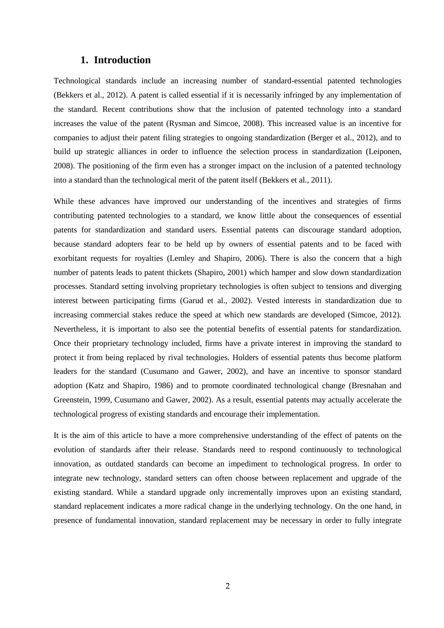#### **1. Introduction**

Technological standards include an increasing number of standard-essential patented technologies (Bekkers et al., 2012). A patent is called essential if it is necessarily infringed by any implementation of the standard. Recent contributions show that the inclusion of patented technology into a standard increases the value of the patent (Rysman and Simcoe, 2008). This increased value is an incentive for companies to adjust their patent filing strategies to ongoing standardization (Berger et al., 2012), and to build up strategic alliances in order to influence the selection process in standardization (Leiponen, 2008). The positioning of the firm even has a stronger impact on the inclusion of a patented technology into a standard than the technological merit of the patent itself (Bekkers et al., 2011).

While these advances have improved our understanding of the incentives and strategies of firms contributing patented technologies to a standard, we know little about the consequences of essential patents for standardization and standard users. Essential patents can discourage standard adoption, because standard adopters fear to be held up by owners of essential patents and to be faced with exorbitant requests for royalties (Lemley and Shapiro, 2006). There is also the concern that a high number of patents leads to patent thickets (Shapiro, 2001) which hamper and slow down standardization processes. Standard setting involving proprietary technologies is often subject to tensions and diverging interest between participating firms (Garud et al., 2002). Vested interests in standardization due to increasing commercial stakes reduce the speed at which new standards are developed (Simcoe, 2012). Nevertheless, it is important to also see the potential benefits of essential patents for standardization. Once their proprietary technology included, firms have a private interest in improving the standard to protect it from being replaced by rival technologies. Holders of essential patents thus become platform leaders for the standard (Cusumano and Gawer, 2002), and have an incentive to sponsor standard adoption (Katz and Shapiro, 1986) and to promote coordinated technological change (Bresnahan and Greenstein, 1999, Cusumano and Gawer, 2002). As a result, essential patents may actually accelerate the technological progress of existing standards and encourage their implementation.

It is the aim of this article to have a more comprehensive understanding of the effect of patents on the evolution of standards after their release. Standards need to respond continuously to technological innovation, as outdated standards can become an impediment to technological progress. In order to integrate new technology, standard setters can often choose between replacement and upgrade of the existing standard. While a standard upgrade only incrementally improves upon an existing standard, standard replacement indicates a more radical change in the underlying technology. On the one hand, in presence of fundamental innovation, standard replacement may be necessary in order to fully integrate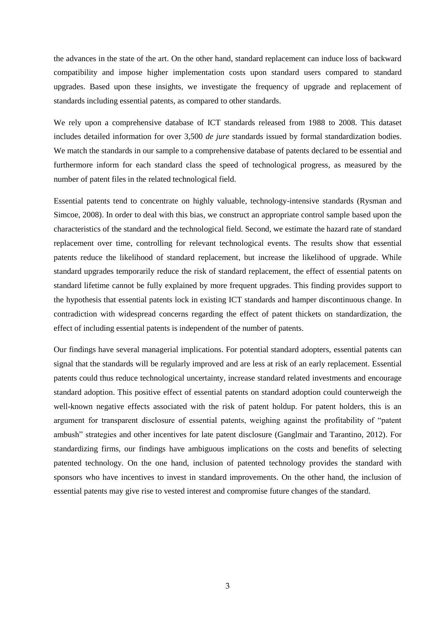the advances in the state of the art. On the other hand, standard replacement can induce loss of backward compatibility and impose higher implementation costs upon standard users compared to standard upgrades. Based upon these insights, we investigate the frequency of upgrade and replacement of standards including essential patents, as compared to other standards.

We rely upon a comprehensive database of ICT standards released from 1988 to 2008. This dataset includes detailed information for over 3,500 *de jure* standards issued by formal standardization bodies. We match the standards in our sample to a comprehensive database of patents declared to be essential and furthermore inform for each standard class the speed of technological progress, as measured by the number of patent files in the related technological field.

Essential patents tend to concentrate on highly valuable, technology-intensive standards (Rysman and Simcoe, 2008). In order to deal with this bias, we construct an appropriate control sample based upon the characteristics of the standard and the technological field. Second, we estimate the hazard rate of standard replacement over time, controlling for relevant technological events. The results show that essential patents reduce the likelihood of standard replacement, but increase the likelihood of upgrade. While standard upgrades temporarily reduce the risk of standard replacement, the effect of essential patents on standard lifetime cannot be fully explained by more frequent upgrades. This finding provides support to the hypothesis that essential patents lock in existing ICT standards and hamper discontinuous change. In contradiction with widespread concerns regarding the effect of patent thickets on standardization, the effect of including essential patents is independent of the number of patents.

Our findings have several managerial implications. For potential standard adopters, essential patents can signal that the standards will be regularly improved and are less at risk of an early replacement. Essential patents could thus reduce technological uncertainty, increase standard related investments and encourage standard adoption. This positive effect of essential patents on standard adoption could counterweigh the well-known negative effects associated with the risk of patent holdup. For patent holders, this is an argument for transparent disclosure of essential patents, weighing against the profitability of "patent ambush" strategies and other incentives for late patent disclosure (Ganglmair and Tarantino, 2012). For standardizing firms, our findings have ambiguous implications on the costs and benefits of selecting patented technology. On the one hand, inclusion of patented technology provides the standard with sponsors who have incentives to invest in standard improvements. On the other hand, the inclusion of essential patents may give rise to vested interest and compromise future changes of the standard.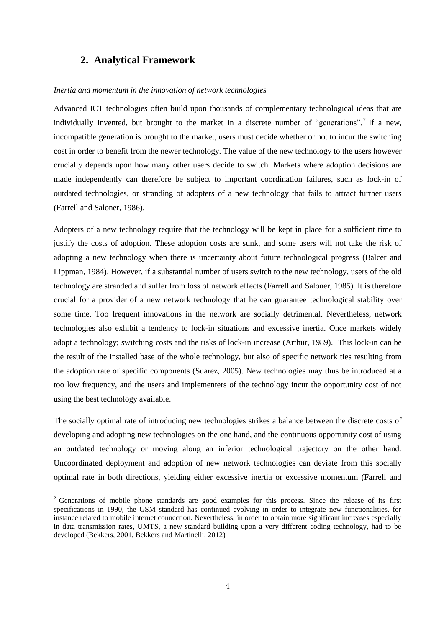## **2. Analytical Framework**

<u>.</u>

#### *Inertia and momentum in the innovation of network technologies*

Advanced ICT technologies often build upon thousands of complementary technological ideas that are individually invented, but brought to the market in a discrete number of "generations".<sup>2</sup> If a new, incompatible generation is brought to the market, users must decide whether or not to incur the switching cost in order to benefit from the newer technology. The value of the new technology to the users however crucially depends upon how many other users decide to switch. Markets where adoption decisions are made independently can therefore be subject to important coordination failures, such as lock-in of outdated technologies, or stranding of adopters of a new technology that fails to attract further users (Farrell and Saloner, 1986).

Adopters of a new technology require that the technology will be kept in place for a sufficient time to justify the costs of adoption. These adoption costs are sunk, and some users will not take the risk of adopting a new technology when there is uncertainty about future technological progress (Balcer and Lippman, 1984). However, if a substantial number of users switch to the new technology, users of the old technology are stranded and suffer from loss of network effects (Farrell and Saloner, 1985). It is therefore crucial for a provider of a new network technology that he can guarantee technological stability over some time. Too frequent innovations in the network are socially detrimental. Nevertheless, network technologies also exhibit a tendency to lock-in situations and excessive inertia. Once markets widely adopt a technology; switching costs and the risks of lock-in increase (Arthur, 1989). This lock-in can be the result of the installed base of the whole technology, but also of specific network ties resulting from the adoption rate of specific components (Suarez, 2005). New technologies may thus be introduced at a too low frequency, and the users and implementers of the technology incur the opportunity cost of not using the best technology available.

The socially optimal rate of introducing new technologies strikes a balance between the discrete costs of developing and adopting new technologies on the one hand, and the continuous opportunity cost of using an outdated technology or moving along an inferior technological trajectory on the other hand. Uncoordinated deployment and adoption of new network technologies can deviate from this socially optimal rate in both directions, yielding either excessive inertia or excessive momentum (Farrell and

<sup>&</sup>lt;sup>2</sup> Generations of mobile phone standards are good examples for this process. Since the release of its first specifications in 1990, the GSM standard has continued evolving in order to integrate new functionalities, for instance related to mobile internet connection. Nevertheless, in order to obtain more significant increases especially in data transmission rates, UMTS, a new standard building upon a very different coding technology, had to be developed (Bekkers, 2001, Bekkers and Martinelli, 2012)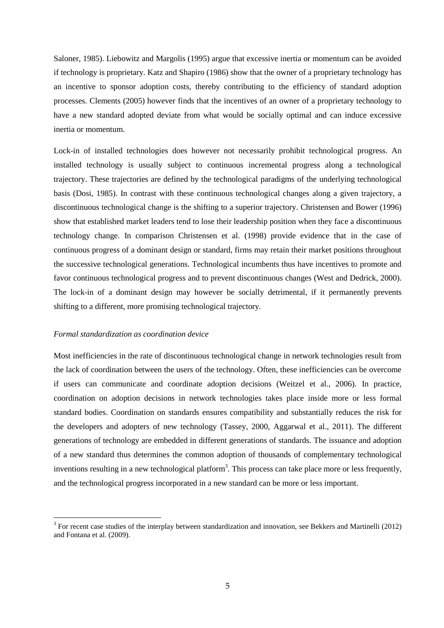Saloner, 1985). Liebowitz and Margolis (1995) argue that excessive inertia or momentum can be avoided if technology is proprietary. Katz and Shapiro (1986) show that the owner of a proprietary technology has an incentive to sponsor adoption costs, thereby contributing to the efficiency of standard adoption processes. Clements (2005) however finds that the incentives of an owner of a proprietary technology to have a new standard adopted deviate from what would be socially optimal and can induce excessive inertia or momentum.

Lock-in of installed technologies does however not necessarily prohibit technological progress. An installed technology is usually subject to continuous incremental progress along a technological trajectory. These trajectories are defined by the technological paradigms of the underlying technological basis (Dosi, 1985). In contrast with these continuous technological changes along a given trajectory, a discontinuous technological change is the shifting to a superior trajectory. Christensen and Bower (1996) show that established market leaders tend to lose their leadership position when they face a discontinuous technology change. In comparison Christensen et al. (1998) provide evidence that in the case of continuous progress of a dominant design or standard, firms may retain their market positions throughout the successive technological generations. Technological incumbents thus have incentives to promote and favor continuous technological progress and to prevent discontinuous changes (West and Dedrick, 2000). The lock-in of a dominant design may however be socially detrimental, if it permanently prevents shifting to a different, more promising technological trajectory.

#### *Formal standardization as coordination device*

<u>.</u>

Most inefficiencies in the rate of discontinuous technological change in network technologies result from the lack of coordination between the users of the technology. Often, these inefficiencies can be overcome if users can communicate and coordinate adoption decisions (Weitzel et al., 2006). In practice, coordination on adoption decisions in network technologies takes place inside more or less formal standard bodies. Coordination on standards ensures compatibility and substantially reduces the risk for the developers and adopters of new technology (Tassey, 2000, Aggarwal et al., 2011). The different generations of technology are embedded in different generations of standards. The issuance and adoption of a new standard thus determines the common adoption of thousands of complementary technological inventions resulting in a new technological platform<sup>3</sup>. This process can take place more or less frequently, and the technological progress incorporated in a new standard can be more or less important.

 $3$  For recent case studies of the interplay between standardization and innovation, see Bekkers and Martinelli (2012) and Fontana et al. (2009).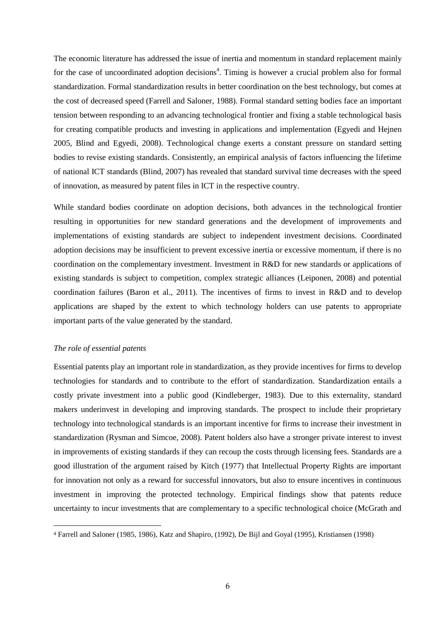The economic literature has addressed the issue of inertia and momentum in standard replacement mainly for the case of uncoordinated adoption decisions<sup>4</sup>. Timing is however a crucial problem also for formal standardization. Formal standardization results in better coordination on the best technology, but comes at the cost of decreased speed (Farrell and Saloner, 1988). Formal standard setting bodies face an important tension between responding to an advancing technological frontier and fixing a stable technological basis for creating compatible products and investing in applications and implementation (Egyedi and Hejnen 2005, Blind and Egyedi, 2008). Technological change exerts a constant pressure on standard setting bodies to revise existing standards. Consistently, an empirical analysis of factors influencing the lifetime of national ICT standards (Blind, 2007) has revealed that standard survival time decreases with the speed of innovation, as measured by patent files in ICT in the respective country.

While standard bodies coordinate on adoption decisions, both advances in the technological frontier resulting in opportunities for new standard generations and the development of improvements and implementations of existing standards are subject to independent investment decisions. Coordinated adoption decisions may be insufficient to prevent excessive inertia or excessive momentum, if there is no coordination on the complementary investment. Investment in R&D for new standards or applications of existing standards is subject to competition, complex strategic alliances (Leiponen, 2008) and potential coordination failures (Baron et al., 2011). The incentives of firms to invest in R&D and to develop applications are shaped by the extent to which technology holders can use patents to appropriate important parts of the value generated by the standard.

#### *The role of essential patents*

<u>.</u>

Essential patents play an important role in standardization, as they provide incentives for firms to develop technologies for standards and to contribute to the effort of standardization. Standardization entails a costly private investment into a public good (Kindleberger, 1983). Due to this externality, standard makers underinvest in developing and improving standards. The prospect to include their proprietary technology into technological standards is an important incentive for firms to increase their investment in standardization (Rysman and Simcoe, 2008). Patent holders also have a stronger private interest to invest in improvements of existing standards if they can recoup the costs through licensing fees. Standards are a good illustration of the argument raised by Kitch (1977) that Intellectual Property Rights are important for innovation not only as a reward for successful innovators, but also to ensure incentives in continuous investment in improving the protected technology. Empirical findings show that patents reduce uncertainty to incur investments that are complementary to a specific technological choice (McGrath and

<sup>4</sup> Farrell and Saloner (1985, 1986), Katz and Shapiro, (1992), De Bijl and Goyal (1995), Kristiansen (1998)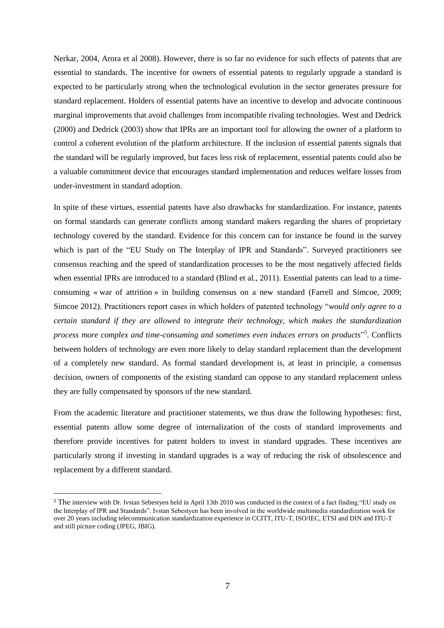Nerkar, 2004, Arora et al 2008). However, there is so far no evidence for such effects of patents that are essential to standards. The incentive for owners of essential patents to regularly upgrade a standard is expected to be particularly strong when the technological evolution in the sector generates pressure for standard replacement. Holders of essential patents have an incentive to develop and advocate continuous marginal improvements that avoid challenges from incompatible rivaling technologies. West and Dedrick (2000) and Dedrick (2003) show that IPRs are an important tool for allowing the owner of a platform to control a coherent evolution of the platform architecture. If the inclusion of essential patents signals that the standard will be regularly improved, but faces less risk of replacement, essential patents could also be a valuable commitment device that encourages standard implementation and reduces welfare losses from under-investment in standard adoption.

In spite of these virtues, essential patents have also drawbacks for standardization. For instance, patents on formal standards can generate conflicts among standard makers regarding the shares of proprietary technology covered by the standard. Evidence for this concern can for instance be found in the survey which is part of the "EU Study on The Interplay of IPR and Standards". Surveyed practitioners see consensus reaching and the speed of standardization processes to be the most negatively affected fields when essential IPRs are introduced to a standard (Blind et al., 2011). Essential patents can lead to a timeconsuming « war of attrition » in building consensus on a new standard (Farrell and Simcoe, 2009; Simcoe 2012). Practitioners report cases in which holders of patented technology "*would only agree to a certain standard if they are allowed to integrate their technology, which makes the standardization process more complex and time-consuming and sometimes even induces errors on products*" 5 . Conflicts between holders of technology are even more likely to delay standard replacement than the development of a completely new standard. As formal standard development is, at least in principle, a consensus decision, owners of components of the existing standard can oppose to any standard replacement unless they are fully compensated by sponsors of the new standard.

From the academic literature and practitioner statements, we thus draw the following hypotheses: first, essential patents allow some degree of internalization of the costs of standard improvements and therefore provide incentives for patent holders to invest in standard upgrades. These incentives are particularly strong if investing in standard upgrades is a way of reducing the risk of obsolescence and replacement by a different standard.

<u>.</u>

<sup>&</sup>lt;sup>5</sup> The interview with Dr. Ivstan Sebestyen held in April 13th 2010 was conducted in the context of a fact finding. "EU study on the Interplay of IPR and Standards". Ivstan Sebestyen has been involved in the worldwide multimedia standardization work for over 20 years including telecommunication standardization experience in CCITT, ITU-T, ISO/IEC, ETSI and DIN and ITU-T and still picture coding (JPEG, JBIG).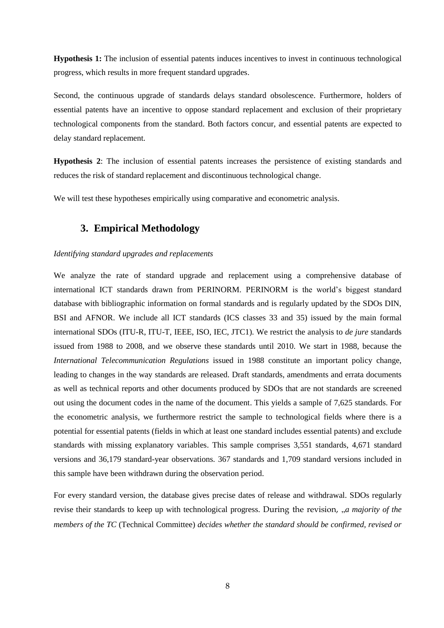**Hypothesis 1:** The inclusion of essential patents induces incentives to invest in continuous technological progress, which results in more frequent standard upgrades.

Second, the continuous upgrade of standards delays standard obsolescence. Furthermore, holders of essential patents have an incentive to oppose standard replacement and exclusion of their proprietary technological components from the standard. Both factors concur, and essential patents are expected to delay standard replacement.

**Hypothesis 2**: The inclusion of essential patents increases the persistence of existing standards and reduces the risk of standard replacement and discontinuous technological change.

We will test these hypotheses empirically using comparative and econometric analysis.

## **3. Empirical Methodology**

#### *Identifying standard upgrades and replacements*

We analyze the rate of standard upgrade and replacement using a comprehensive database of international ICT standards drawn from PERINORM. PERINORM is the world's biggest standard database with bibliographic information on formal standards and is regularly updated by the SDOs DIN, BSI and AFNOR. We include all ICT standards (ICS classes 33 and 35) issued by the main formal international SDOs (ITU-R, ITU-T, IEEE, ISO, IEC, JTC1). We restrict the analysis to *de jure* standards issued from 1988 to 2008, and we observe these standards until 2010. We start in 1988, because the *International Telecommunication Regulations* issued in 1988 constitute an important policy change, leading to changes in the way standards are released. Draft standards, amendments and errata documents as well as technical reports and other documents produced by SDOs that are not standards are screened out using the document codes in the name of the document. This yields a sample of 7,625 standards. For the econometric analysis, we furthermore restrict the sample to technological fields where there is a potential for essential patents (fields in which at least one standard includes essential patents) and exclude standards with missing explanatory variables. This sample comprises 3,551 standards, 4,671 standard versions and 36,179 standard-year observations. 367 standards and 1,709 standard versions included in this sample have been withdrawn during the observation period.

For every standard version, the database gives precise dates of release and withdrawal. SDOs regularly revise their standards to keep up with technological progress. During the revision, "*a majority of the members of the TC* (Technical Committee) *decides whether the standard should be confirmed, revised or*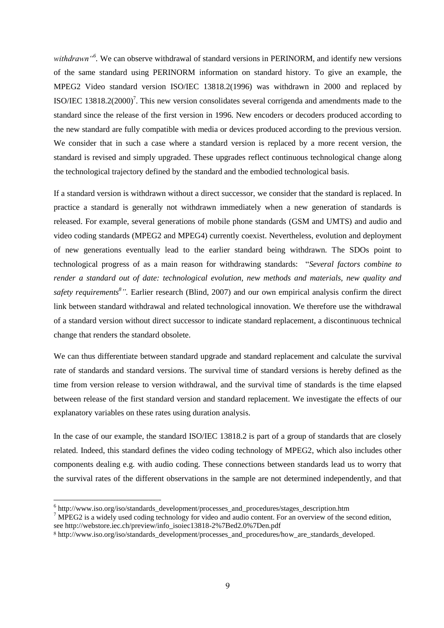withdrawn<sup>"6</sup>. We can observe withdrawal of standard versions in PERINORM, and identify new versions of the same standard using PERINORM information on standard history. To give an example, the MPEG2 Video standard version ISO/IEC 13818.2(1996) was withdrawn in 2000 and replaced by ISO/IEC 13818.2(2000)<sup>7</sup>. This new version consolidates several corrigenda and amendments made to the standard since the release of the first version in 1996. New encoders or decoders produced according to the new standard are fully compatible with media or devices produced according to the previous version. We consider that in such a case where a standard version is replaced by a more recent version, the standard is revised and simply upgraded. These upgrades reflect continuous technological change along the technological trajectory defined by the standard and the embodied technological basis.

If a standard version is withdrawn without a direct successor, we consider that the standard is replaced. In practice a standard is generally not withdrawn immediately when a new generation of standards is released. For example, several generations of mobile phone standards (GSM and UMTS) and audio and video coding standards (MPEG2 and MPEG4) currently coexist. Nevertheless, evolution and deployment of new generations eventually lead to the earlier standard being withdrawn. The SDOs point to technological progress of as a main reason for withdrawing standards: "*Several factors combine to render a standard out of date: technological evolution, new methods and materials, new quality and safety requirements<sup>8</sup> ".* Earlier research (Blind, 2007) and our own empirical analysis confirm the direct link between standard withdrawal and related technological innovation. We therefore use the withdrawal of a standard version without direct successor to indicate standard replacement, a discontinuous technical change that renders the standard obsolete.

We can thus differentiate between standard upgrade and standard replacement and calculate the survival rate of standards and standard versions. The survival time of standard versions is hereby defined as the time from version release to version withdrawal, and the survival time of standards is the time elapsed between release of the first standard version and standard replacement. We investigate the effects of our explanatory variables on these rates using duration analysis.

In the case of our example, the standard ISO/IEC 13818.2 is part of a group of standards that are closely related. Indeed, this standard defines the video coding technology of MPEG2, which also includes other components dealing e.g. with audio coding. These connections between standards lead us to worry that the survival rates of the different observations in the sample are not determined independently, and that

<u>.</u>

<sup>&</sup>lt;sup>6</sup> http://www.iso.org/iso/standards\_development/processes\_and\_procedures/stages\_description.htm

<sup>&</sup>lt;sup>7</sup> MPEG2 is a widely used coding technology for video and audio content. For an overview of the second edition, see http://webstore.iec.ch/preview/info\_isoiec13818-2%7Bed2.0%7Den.pdf

<sup>&</sup>lt;sup>8</sup> http://www.iso.org/iso/standards\_development/processes\_and\_procedures/how\_are\_standards\_developed.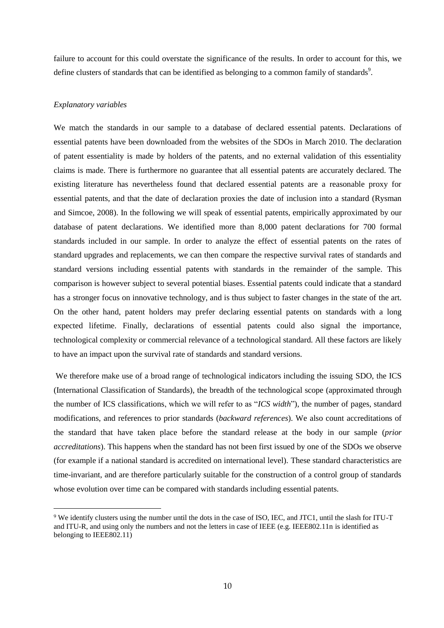failure to account for this could overstate the significance of the results. In order to account for this, we define clusters of standards that can be identified as belonging to a common family of standards<sup>9</sup>.

#### *Explanatory variables*

<u>.</u>

We match the standards in our sample to a database of declared essential patents. Declarations of essential patents have been downloaded from the websites of the SDOs in March 2010. The declaration of patent essentiality is made by holders of the patents, and no external validation of this essentiality claims is made. There is furthermore no guarantee that all essential patents are accurately declared. The existing literature has nevertheless found that declared essential patents are a reasonable proxy for essential patents, and that the date of declaration proxies the date of inclusion into a standard (Rysman and Simcoe, 2008). In the following we will speak of essential patents, empirically approximated by our database of patent declarations. We identified more than 8,000 patent declarations for 700 formal standards included in our sample. In order to analyze the effect of essential patents on the rates of standard upgrades and replacements, we can then compare the respective survival rates of standards and standard versions including essential patents with standards in the remainder of the sample. This comparison is however subject to several potential biases. Essential patents could indicate that a standard has a stronger focus on innovative technology, and is thus subject to faster changes in the state of the art. On the other hand, patent holders may prefer declaring essential patents on standards with a long expected lifetime. Finally, declarations of essential patents could also signal the importance, technological complexity or commercial relevance of a technological standard. All these factors are likely to have an impact upon the survival rate of standards and standard versions.

We therefore make use of a broad range of technological indicators including the issuing SDO, the ICS (International Classification of Standards), the breadth of the technological scope (approximated through the number of ICS classifications, which we will refer to as "*ICS width*"), the number of pages, standard modifications, and references to prior standards (*backward references*). We also count accreditations of the standard that have taken place before the standard release at the body in our sample (*prior accreditations*). This happens when the standard has not been first issued by one of the SDOs we observe (for example if a national standard is accredited on international level). These standard characteristics are time-invariant, and are therefore particularly suitable for the construction of a control group of standards whose evolution over time can be compared with standards including essential patents.

<sup>9</sup> We identify clusters using the number until the dots in the case of ISO, IEC, and JTC1, until the slash for ITU-T and ITU-R, and using only the numbers and not the letters in case of IEEE (e.g. IEEE802.11n is identified as belonging to IEEE802.11)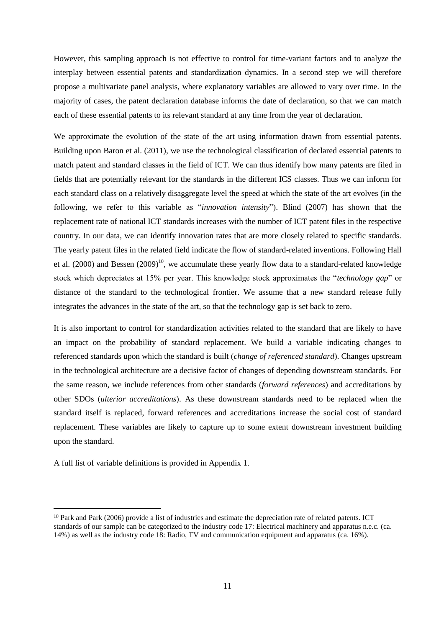However, this sampling approach is not effective to control for time-variant factors and to analyze the interplay between essential patents and standardization dynamics. In a second step we will therefore propose a multivariate panel analysis, where explanatory variables are allowed to vary over time. In the majority of cases, the patent declaration database informs the date of declaration, so that we can match each of these essential patents to its relevant standard at any time from the year of declaration.

We approximate the evolution of the state of the art using information drawn from essential patents. Building upon Baron et al. (2011), we use the technological classification of declared essential patents to match patent and standard classes in the field of ICT. We can thus identify how many patents are filed in fields that are potentially relevant for the standards in the different ICS classes. Thus we can inform for each standard class on a relatively disaggregate level the speed at which the state of the art evolves (in the following, we refer to this variable as "*innovation intensity*"). Blind (2007) has shown that the replacement rate of national ICT standards increases with the number of ICT patent files in the respective country. In our data, we can identify innovation rates that are more closely related to specific standards. The yearly patent files in the related field indicate the flow of standard-related inventions. Following Hall et al. (2000) and Bessen (2009)<sup>10</sup>, we accumulate these yearly flow data to a standard-related knowledge stock which depreciates at 15% per year. This knowledge stock approximates the "*technology gap*" or distance of the standard to the technological frontier. We assume that a new standard release fully integrates the advances in the state of the art, so that the technology gap is set back to zero.

It is also important to control for standardization activities related to the standard that are likely to have an impact on the probability of standard replacement. We build a variable indicating changes to referenced standards upon which the standard is built (*change of referenced standard*). Changes upstream in the technological architecture are a decisive factor of changes of depending downstream standards. For the same reason, we include references from other standards (*forward references*) and accreditations by other SDOs (*ulterior accreditations*). As these downstream standards need to be replaced when the standard itself is replaced, forward references and accreditations increase the social cost of standard replacement. These variables are likely to capture up to some extent downstream investment building upon the standard.

A full list of variable definitions is provided in Appendix 1.

<u>.</u>

<sup>10</sup> Park and Park (2006) provide a list of industries and estimate the depreciation rate of related patents. ICT standards of our sample can be categorized to the industry code 17: Electrical machinery and apparatus n.e.c. (ca. 14%) as well as the industry code 18: Radio, TV and communication equipment and apparatus (ca. 16%).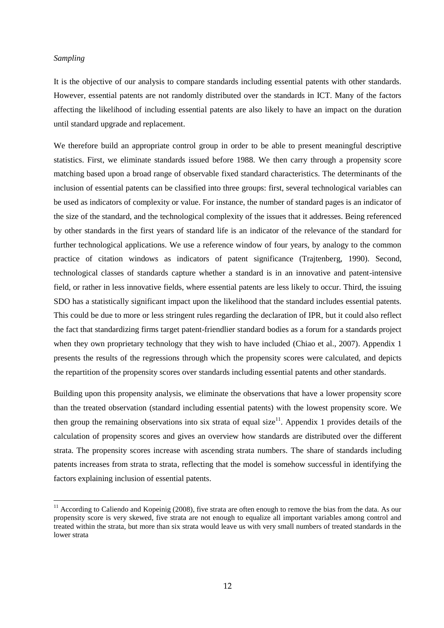#### *Sampling*

-

It is the objective of our analysis to compare standards including essential patents with other standards. However, essential patents are not randomly distributed over the standards in ICT. Many of the factors affecting the likelihood of including essential patents are also likely to have an impact on the duration until standard upgrade and replacement.

We therefore build an appropriate control group in order to be able to present meaningful descriptive statistics. First, we eliminate standards issued before 1988. We then carry through a propensity score matching based upon a broad range of observable fixed standard characteristics. The determinants of the inclusion of essential patents can be classified into three groups: first, several technological variables can be used as indicators of complexity or value. For instance, the number of standard pages is an indicator of the size of the standard, and the technological complexity of the issues that it addresses. Being referenced by other standards in the first years of standard life is an indicator of the relevance of the standard for further technological applications. We use a reference window of four years, by analogy to the common practice of citation windows as indicators of patent significance (Trajtenberg, 1990). Second, technological classes of standards capture whether a standard is in an innovative and patent-intensive field, or rather in less innovative fields, where essential patents are less likely to occur. Third, the issuing SDO has a statistically significant impact upon the likelihood that the standard includes essential patents. This could be due to more or less stringent rules regarding the declaration of IPR, but it could also reflect the fact that standardizing firms target patent-friendlier standard bodies as a forum for a standards project when they own proprietary technology that they wish to have included (Chiao et al., 2007). Appendix 1 presents the results of the regressions through which the propensity scores were calculated, and depicts the repartition of the propensity scores over standards including essential patents and other standards.

Building upon this propensity analysis, we eliminate the observations that have a lower propensity score than the treated observation (standard including essential patents) with the lowest propensity score. We then group the remaining observations into six strata of equal size<sup>11</sup>. Appendix 1 provides details of the calculation of propensity scores and gives an overview how standards are distributed over the different strata. The propensity scores increase with ascending strata numbers. The share of standards including patents increases from strata to strata, reflecting that the model is somehow successful in identifying the factors explaining inclusion of essential patents.

 $11$  According to Caliendo and Kopeinig (2008), five strata are often enough to remove the bias from the data. As our propensity score is very skewed, five strata are not enough to equalize all important variables among control and treated within the strata, but more than six strata would leave us with very small numbers of treated standards in the lower strata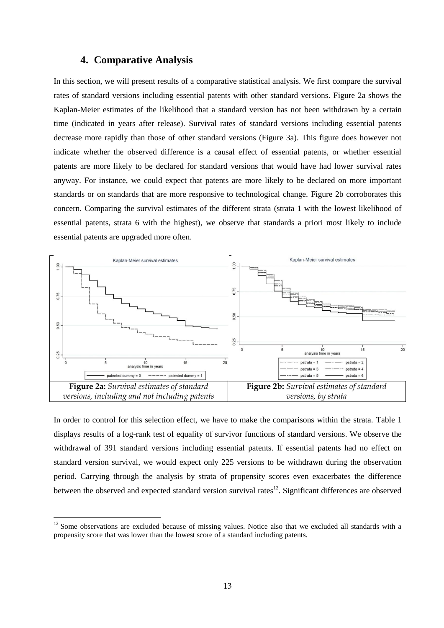### **4. Comparative Analysis**

<u>.</u>

In this section, we will present results of a comparative statistical analysis. We first compare the survival rates of standard versions including essential patents with other standard versions. Figure 2a shows the Kaplan-Meier estimates of the likelihood that a standard version has not been withdrawn by a certain time (indicated in years after release). Survival rates of standard versions including essential patents decrease more rapidly than those of other standard versions (Figure 3a). This figure does however not indicate whether the observed difference is a causal effect of essential patents, or whether essential patents are more likely to be declared for standard versions that would have had lower survival rates anyway. For instance, we could expect that patents are more likely to be declared on more important standards or on standards that are more responsive to technological change. Figure 2b corroborates this concern. Comparing the survival estimates of the different strata (strata 1 with the lowest likelihood of essential patents, strata 6 with the highest), we observe that standards a priori most likely to include essential patents are upgraded more often.



In order to control for this selection effect, we have to make the comparisons within the strata. Table 1 displays results of a log-rank test of equality of survivor functions of standard versions. We observe the withdrawal of 391 standard versions including essential patents. If essential patents had no effect on standard version survival, we would expect only 225 versions to be withdrawn during the observation period. Carrying through the analysis by strata of propensity scores even exacerbates the difference between the observed and expected standard version survival rates $12$ . Significant differences are observed

<sup>&</sup>lt;sup>12</sup> Some observations are excluded because of missing values. Notice also that we excluded all standards with a propensity score that was lower than the lowest score of a standard including patents.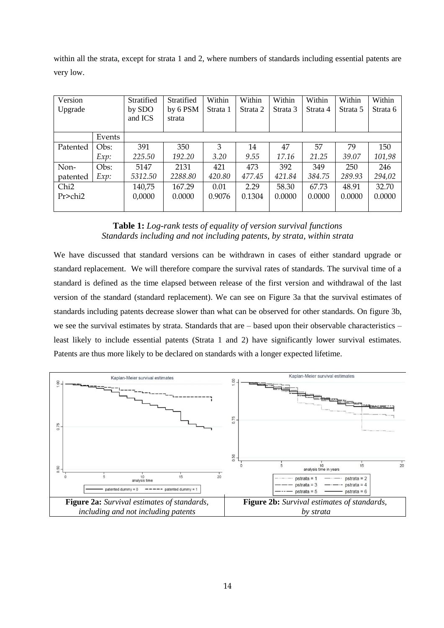within all the strata, except for strata 1 and 2, where numbers of standards including essential patents are very low.

| Version<br>Upgrade |        | Stratified<br>by SDO<br>and ICS | Stratified<br>by 6 PSM<br>strata | Within<br>Strata 1 | Within<br>Strata 2 | Within<br>Strata 3 | Within<br>Strata 4 | Within<br>Strata 5 | Within<br>Strata 6 |
|--------------------|--------|---------------------------------|----------------------------------|--------------------|--------------------|--------------------|--------------------|--------------------|--------------------|
|                    |        |                                 |                                  |                    |                    |                    |                    |                    |                    |
|                    | Events |                                 |                                  |                    |                    |                    |                    |                    |                    |
| Patented           | Obs:   | 391                             | 350                              | 3                  | 14                 | 47                 | 57                 | 79                 | 150                |
|                    | Exp:   | 225.50                          | 192.20                           | 3.20               | 9.55               | 17.16              | 21.25              | 39.07              | 101,98             |
| Non-               | Obs:   | 5147                            | 2131                             | 421                | 473                | 392                | 349                | 250                | 246                |
| patented           | Exp:   | 5312.50                         | 2288.80                          | 420.80             | 477.45             | 421.84             | 384.75             | 289.93             | 294,02             |
| Chi <sub>2</sub>   |        | 140,75                          | 167.29                           | 0.01               | 2.29               | 58.30              | 67.73              | 48.91              | 32.70              |
| Pr>chi2            |        | 0,0000                          | 0.0000                           | 0.9076             | 0.1304             | 0.0000             | 0.0000             | 0.0000             | 0.0000             |
|                    |        |                                 |                                  |                    |                    |                    |                    |                    |                    |

## **Table 1:** *Log-rank tests of equality of version survival functions Standards including and not including patents, by strata, within strata*

We have discussed that standard versions can be withdrawn in cases of either standard upgrade or standard replacement. We will therefore compare the survival rates of standards. The survival time of a standard is defined as the time elapsed between release of the first version and withdrawal of the last version of the standard (standard replacement). We can see on Figure 3a that the survival estimates of standards including patents decrease slower than what can be observed for other standards. On figure 3b, we see the survival estimates by strata. Standards that are – based upon their observable characteristics – least likely to include essential patents (Strata 1 and 2) have significantly lower survival estimates. Patents are thus more likely to be declared on standards with a longer expected lifetime.

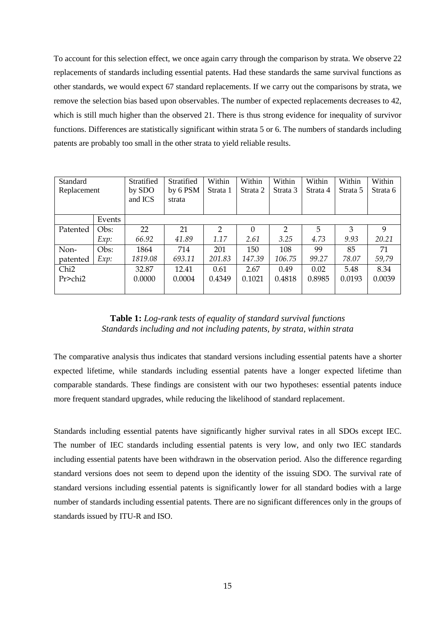To account for this selection effect, we once again carry through the comparison by strata. We observe 22 replacements of standards including essential patents. Had these standards the same survival functions as other standards, we would expect 67 standard replacements. If we carry out the comparisons by strata, we remove the selection bias based upon observables. The number of expected replacements decreases to 42, which is still much higher than the observed 21. There is thus strong evidence for inequality of survivor functions. Differences are statistically significant within strata 5 or 6. The numbers of standards including patents are probably too small in the other strata to yield reliable results.

| Standard<br>Replacement |        | Stratified<br>by SDO<br>and ICS | Stratified<br>by 6 PSM<br>strata | Within<br>Strata 1 | Within<br>Strata 2 | Within<br>Strata 3 | Within<br>Strata 4 | Within<br>Strata 5 | Within<br>Strata 6 |
|-------------------------|--------|---------------------------------|----------------------------------|--------------------|--------------------|--------------------|--------------------|--------------------|--------------------|
|                         | Events |                                 |                                  |                    |                    |                    |                    |                    |                    |
| Patented                | Obs:   | 22                              | 21                               | $\mathcal{P}$      | $\Omega$           | $\overline{2}$     | 5                  | 3                  | 9                  |
|                         | Exp:   | 66.92                           | 41.89                            | 1.17               | 2.61               | 3.25               | 4.73               | 9.93               | 20.21              |
| Non-                    | Obs:   | 1864                            | 714                              | 201                | 150                | 108                | 99                 | 85                 | 71                 |
| patented                | Exp:   | 1819.08                         | 693.11                           | 201.83             | 147.39             | 106.75             | 99.27              | 78.07              | 59,79              |
| Chi <sub>2</sub>        |        | 32.87                           | 12.41                            | 0.61               | 2.67               | 0.49               | 0.02               | 5.48               | 8.34               |
| Pr>chi2                 |        | 0.0000                          | 0.0004                           | 0.4349             | 0.1021             | 0.4818             | 0.8985             | 0.0193             | 0.0039             |

## **Table 1:** *Log-rank tests of equality of standard survival functions Standards including and not including patents, by strata, within strata*

The comparative analysis thus indicates that standard versions including essential patents have a shorter expected lifetime, while standards including essential patents have a longer expected lifetime than comparable standards. These findings are consistent with our two hypotheses: essential patents induce more frequent standard upgrades, while reducing the likelihood of standard replacement.

Standards including essential patents have significantly higher survival rates in all SDOs except IEC. The number of IEC standards including essential patents is very low, and only two IEC standards including essential patents have been withdrawn in the observation period. Also the difference regarding standard versions does not seem to depend upon the identity of the issuing SDO. The survival rate of standard versions including essential patents is significantly lower for all standard bodies with a large number of standards including essential patents. There are no significant differences only in the groups of standards issued by ITU-R and ISO.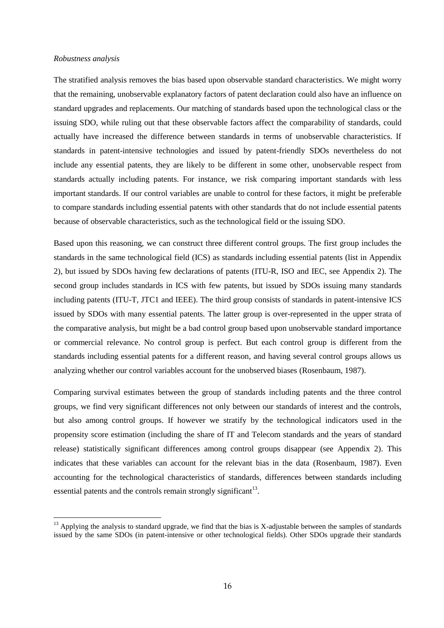#### *Robustness analysis*

<u>.</u>

The stratified analysis removes the bias based upon observable standard characteristics. We might worry that the remaining, unobservable explanatory factors of patent declaration could also have an influence on standard upgrades and replacements. Our matching of standards based upon the technological class or the issuing SDO, while ruling out that these observable factors affect the comparability of standards, could actually have increased the difference between standards in terms of unobservable characteristics. If standards in patent-intensive technologies and issued by patent-friendly SDOs nevertheless do not include any essential patents, they are likely to be different in some other, unobservable respect from standards actually including patents. For instance, we risk comparing important standards with less important standards. If our control variables are unable to control for these factors, it might be preferable to compare standards including essential patents with other standards that do not include essential patents because of observable characteristics, such as the technological field or the issuing SDO.

Based upon this reasoning, we can construct three different control groups. The first group includes the standards in the same technological field (ICS) as standards including essential patents (list in Appendix 2), but issued by SDOs having few declarations of patents (ITU-R, ISO and IEC, see Appendix 2). The second group includes standards in ICS with few patents, but issued by SDOs issuing many standards including patents (ITU-T, JTC1 and IEEE). The third group consists of standards in patent-intensive ICS issued by SDOs with many essential patents. The latter group is over-represented in the upper strata of the comparative analysis, but might be a bad control group based upon unobservable standard importance or commercial relevance. No control group is perfect. But each control group is different from the standards including essential patents for a different reason, and having several control groups allows us analyzing whether our control variables account for the unobserved biases (Rosenbaum, 1987).

Comparing survival estimates between the group of standards including patents and the three control groups, we find very significant differences not only between our standards of interest and the controls, but also among control groups. If however we stratify by the technological indicators used in the propensity score estimation (including the share of IT and Telecom standards and the years of standard release) statistically significant differences among control groups disappear (see Appendix 2). This indicates that these variables can account for the relevant bias in the data (Rosenbaum, 1987). Even accounting for the technological characteristics of standards, differences between standards including essential patents and the controls remain strongly significant $1<sup>3</sup>$ .

 $13$  Applying the analysis to standard upgrade, we find that the bias is X-adjustable between the samples of standards issued by the same SDOs (in patent-intensive or other technological fields). Other SDOs upgrade their standards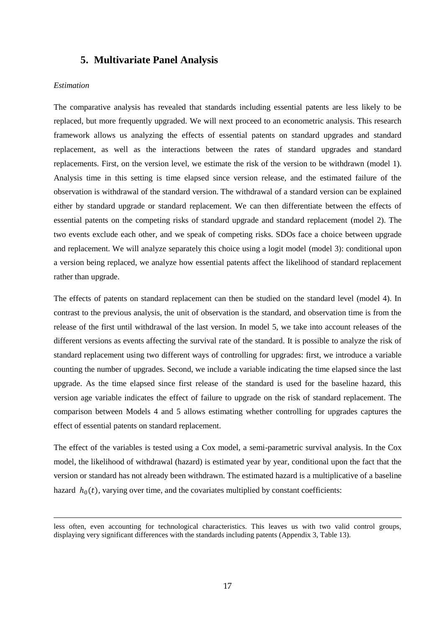## **5. Multivariate Panel Analysis**

#### *Estimation*

<u>.</u>

The comparative analysis has revealed that standards including essential patents are less likely to be replaced, but more frequently upgraded. We will next proceed to an econometric analysis. This research framework allows us analyzing the effects of essential patents on standard upgrades and standard replacement, as well as the interactions between the rates of standard upgrades and standard replacements. First, on the version level, we estimate the risk of the version to be withdrawn (model 1). Analysis time in this setting is time elapsed since version release, and the estimated failure of the observation is withdrawal of the standard version. The withdrawal of a standard version can be explained either by standard upgrade or standard replacement. We can then differentiate between the effects of essential patents on the competing risks of standard upgrade and standard replacement (model 2). The two events exclude each other, and we speak of competing risks. SDOs face a choice between upgrade and replacement. We will analyze separately this choice using a logit model (model 3): conditional upon a version being replaced, we analyze how essential patents affect the likelihood of standard replacement rather than upgrade.

The effects of patents on standard replacement can then be studied on the standard level (model 4). In contrast to the previous analysis, the unit of observation is the standard, and observation time is from the release of the first until withdrawal of the last version. In model 5, we take into account releases of the different versions as events affecting the survival rate of the standard. It is possible to analyze the risk of standard replacement using two different ways of controlling for upgrades: first, we introduce a variable counting the number of upgrades. Second, we include a variable indicating the time elapsed since the last upgrade. As the time elapsed since first release of the standard is used for the baseline hazard, this version age variable indicates the effect of failure to upgrade on the risk of standard replacement. The comparison between Models 4 and 5 allows estimating whether controlling for upgrades captures the effect of essential patents on standard replacement.

The effect of the variables is tested using a Cox model, a semi-parametric survival analysis. In the Cox model, the likelihood of withdrawal (hazard) is estimated year by year, conditional upon the fact that the version or standard has not already been withdrawn. The estimated hazard is a multiplicative of a baseline hazard  $h_0(t)$ , varying over time, and the covariates multiplied by constant coefficients:

less often, even accounting for technological characteristics. This leaves us with two valid control groups, displaying very significant differences with the standards including patents (Appendix 3, Table 13).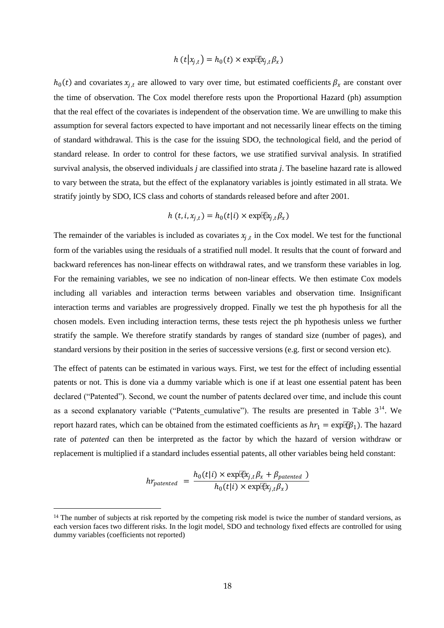$$
h(t|x_{j,t}) = h_0(t) \times \exp[\hat{x}_{j,t}\beta_x]
$$

 $h_0(t)$  and covariates  $x_{j,t}$  are allowed to vary over time, but estimated coefficients  $\beta_x$  are constant over the time of observation. The Cox model therefore rests upon the Proportional Hazard (ph) assumption that the real effect of the covariates is independent of the observation time. We are unwilling to make this assumption for several factors expected to have important and not necessarily linear effects on the timing of standard withdrawal. This is the case for the issuing SDO, the technological field, and the period of standard release. In order to control for these factors, we use stratified survival analysis. In stratified survival analysis, the observed individuals *j* are classified into strata *j*. The baseline hazard rate is allowed to vary between the strata, but the effect of the explanatory variables is jointly estimated in all strata. We stratify jointly by SDO, ICS class and cohorts of standards released before and after 2001.

$$
h(t, i, x_{j,t}) = h_0(t|i) \times \exp(\mathfrak{X}_{j,t} \beta_x)
$$

The remainder of the variables is included as covariates  $x_{j,t}$  in the Cox model. We test for the functional form of the variables using the residuals of a stratified null model. It results that the count of forward and backward references has non-linear effects on withdrawal rates, and we transform these variables in log. For the remaining variables, we see no indication of non-linear effects. We then estimate Cox models including all variables and interaction terms between variables and observation time. Insignificant interaction terms and variables are progressively dropped. Finally we test the ph hypothesis for all the chosen models. Even including interaction terms, these tests reject the ph hypothesis unless we further stratify the sample. We therefore stratify standards by ranges of standard size (number of pages), and standard versions by their position in the series of successive versions (e.g. first or second version etc).

The effect of patents can be estimated in various ways. First, we test for the effect of including essential patents or not. This is done via a dummy variable which is one if at least one essential patent has been declared ("Patented"). Second, we count the number of patents declared over time, and include this count as a second explanatory variable ("Patents cumulative"). The results are presented in Table  $3<sup>14</sup>$ . We report hazard rates, which can be obtained from the estimated coefficients as  $hr_1 = \exp[\hat{E}\beta_1]$ . The hazard rate of *patented* can then be interpreted as the factor by which the hazard of version withdraw or replacement is multiplied if a standard includes essential patents, all other variables being held constant:

$$
hr_{patternted} = \frac{h_0(t|i) \times \exp[\mathfrak{X}_{j,t}\beta_x + \beta_{patternted}]}{h_0(t|i) \times \exp[\mathfrak{X}_{j,t}\beta_x]}
$$

<u>.</u>

<sup>&</sup>lt;sup>14</sup> The number of subjects at risk reported by the competing risk model is twice the number of standard versions, as each version faces two different risks. In the logit model, SDO and technology fixed effects are controlled for using dummy variables (coefficients not reported)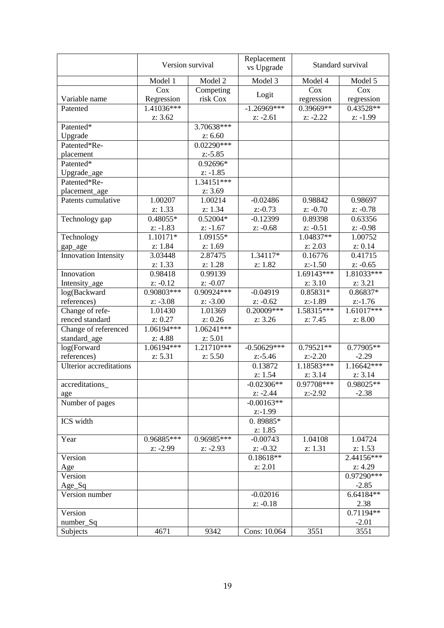|                         |              | Version survival | Replacement<br>vs Upgrade |             | Standard survival       |
|-------------------------|--------------|------------------|---------------------------|-------------|-------------------------|
|                         | Model 1      | Model 2          | Model 3                   | Model 4     | Model 5                 |
|                         | Cox          | Competing        |                           | Cox         | Cox                     |
| Variable name           | Regression   | risk Cox         | Logit                     | regression  | regression              |
| Patented                | $1.41036***$ |                  | $-1.26969***$             | $0.39669**$ | 0.43528**               |
|                         | z: 3.62      |                  | $z: -2.61$                | $z: -2.22$  | $z: -1.99$              |
| Patented*               |              | 3.70638***       |                           |             |                         |
| Upgrade                 |              | z: 6.60          |                           |             |                         |
| Patented*Re-            |              | $0.02290***$     |                           |             |                         |
| placement               |              | $z: -5.85$       |                           |             |                         |
| Patented*               |              | 0.92696*         |                           |             |                         |
| Upgrade_age             |              | $z: -1.85$       |                           |             |                         |
| Patented*Re-            |              | $1.34151***$     |                           |             |                         |
| placement_age           |              | z: 3.69          |                           |             |                         |
| Patents cumulative      | 1.00207      | 1.00214          | $-0.02486$                | 0.98842     | 0.98697                 |
|                         | z: 1.33      | z: 1.34          | $z: -0.73$                | $z: -0.70$  | $z: -0.78$              |
| Technology gap          | 0.48055*     | $0.52004*$       | $-0.12399$                | 0.89398     | 0.63356                 |
|                         | $z: -1.83$   | $z: -1.67$       | z: -0.68                  | $z: -0.51$  | $z: -0.98$              |
| Technology              | 1.10171*     | 1.09155*         |                           | 1.04837**   | 1.00752                 |
| gap_age                 | z: 1.84      | z: 1.69          |                           | z: 2.03     | z: 0.14                 |
| Innovation Intensity    | 3.03448      | 2.87475          | 1.34117*                  | 0.16776     | 0.41715                 |
|                         | z: 1.33      | z: 1.28          | z: 1.82                   | $z: -1.50$  | $z: -0.65$              |
| Innovation              | 0.98418      | 0.99139          |                           | 1.69143***  | $1.81033***$            |
| Intensity_age           | $z: -0.12$   | $z: -0.07$       |                           | z: 3.10     | z: 3.21                 |
| log(Backward            | $0.90803***$ | 0.90924***       | $-0.04919$                | $0.85831*$  | 0.86837*                |
| references)             | $z: -3.08$   | $z: -3.00$       | $z: -0.62$                | $z: -1.89$  | $z: -1.76$              |
| Change of refe-         | 1.01430      | 1.01369          | $0.20009***$              | 1.58315***  | $1.61017***$            |
| renced standard         | z: 0.27      | z: 0.26          | z: 3.26                   | z: 7.45     | z: 8.00                 |
| Change of referenced    | 1.06194***   | 1.06241***       |                           |             |                         |
| standard_age            | z: 4.88      | z: 5.01          |                           |             |                         |
| log(Forward             | 1.06194***   | $1.21710***$     | $-0.50629***$             | $0.79521**$ | $0.77905**$             |
| references)             | z: 5.31      | z: 5.50          | $z: -5.46$                | $z:-2.20$   | $-2.29$                 |
| Ulterior accreditations |              |                  | 0.13872                   | 1.18583***  | 1.16642***              |
|                         |              |                  | z: 1.54                   | z: 3.14     | z: 3.14                 |
| accreditations          |              |                  | $-0.02306**$              | 0.97708***  | $0.98025**$             |
| age                     |              |                  | $z: -2.44$                | $z: -2.92$  | $-2.38$                 |
| Number of pages         |              |                  | $-0.00163**$              |             |                         |
|                         |              |                  | $z: -1.99$                |             |                         |
| ICS width               |              |                  | 0.89885*                  |             |                         |
|                         |              |                  | z: 1.85                   |             |                         |
| Year                    | 0.96885***   | 0.96985***       | $-0.00743$                | 1.04108     | 1.04724                 |
|                         | $z: -2.99$   | $z: -2.93$       | $z: -0.32$                | z: 1.31     | z: 1.53                 |
| Version                 |              |                  | $0.18618**$               |             | $2.441\overline{56***}$ |
| Age                     |              |                  | z: 2.01                   |             | z: 4.29                 |
| Version                 |              |                  |                           |             | 0.97290***              |
| Age_Sq                  |              |                  |                           |             | $-2.85$                 |
| Version number          |              |                  | $-0.02016$                |             | 6.64184**               |
|                         |              |                  | $z: -0.18$                |             | 2.38                    |
| Version                 |              |                  |                           |             | 0.71194**               |
| number_Sq               |              |                  |                           |             | $-2.01$                 |
| Subjects                | 4671         | 9342             | Cons: 10.064              | 3551        | 3551                    |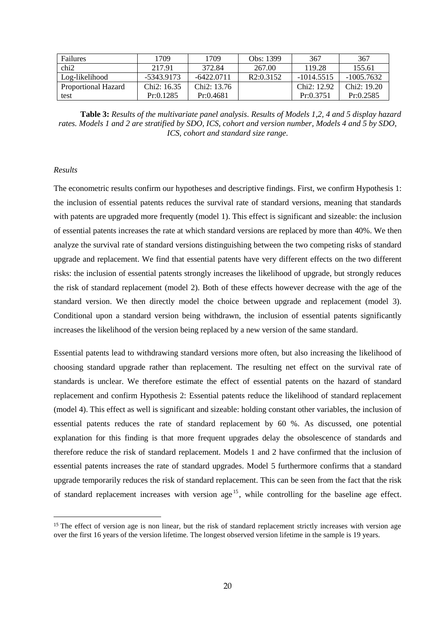| <b>Failures</b>            | 1709        | 1709                     | Obs: 1399              | 367                      | 367          |
|----------------------------|-------------|--------------------------|------------------------|--------------------------|--------------|
| chi2                       | 217.91      | 372.84                   | 267.00                 | 119.28                   | 155.61       |
| Log-likelihood             | -5343.9173  | $-6422.0711$             | R <sub>2</sub> :0.3152 | $-1014.5515$             | $-1005.7632$ |
| <b>Proportional Hazard</b> | Chi2: 16.35 | Chi <sub>2</sub> : 13.76 |                        | Chi <sub>2</sub> : 12.92 | Chi2: 19.20  |
| test                       | Pr: 0.1285  | Pr: 0.4681               |                        | Pr: 0.3751               | Pr: 0.2585   |

**Table 3:** *Results of the multivariate panel analysis. Results of Models 1,2, 4 and 5 display hazard rates. Models 1 and 2 are stratified by SDO, ICS, cohort and version number, Models 4 and 5 by SDO, ICS, cohort and standard size range.*

#### *Results*

<u>.</u>

The econometric results confirm our hypotheses and descriptive findings. First, we confirm Hypothesis 1: the inclusion of essential patents reduces the survival rate of standard versions, meaning that standards with patents are upgraded more frequently (model 1). This effect is significant and sizeable: the inclusion of essential patents increases the rate at which standard versions are replaced by more than 40%. We then analyze the survival rate of standard versions distinguishing between the two competing risks of standard upgrade and replacement. We find that essential patents have very different effects on the two different risks: the inclusion of essential patents strongly increases the likelihood of upgrade, but strongly reduces the risk of standard replacement (model 2). Both of these effects however decrease with the age of the standard version. We then directly model the choice between upgrade and replacement (model 3). Conditional upon a standard version being withdrawn, the inclusion of essential patents significantly increases the likelihood of the version being replaced by a new version of the same standard.

Essential patents lead to withdrawing standard versions more often, but also increasing the likelihood of choosing standard upgrade rather than replacement. The resulting net effect on the survival rate of standards is unclear. We therefore estimate the effect of essential patents on the hazard of standard replacement and confirm Hypothesis 2: Essential patents reduce the likelihood of standard replacement (model 4). This effect as well is significant and sizeable: holding constant other variables, the inclusion of essential patents reduces the rate of standard replacement by 60 %. As discussed, one potential explanation for this finding is that more frequent upgrades delay the obsolescence of standards and therefore reduce the risk of standard replacement. Models 1 and 2 have confirmed that the inclusion of essential patents increases the rate of standard upgrades. Model 5 furthermore confirms that a standard upgrade temporarily reduces the risk of standard replacement. This can be seen from the fact that the risk of standard replacement increases with version age<sup>15</sup>, while controlling for the baseline age effect.

<sup>&</sup>lt;sup>15</sup> The effect of version age is non linear, but the risk of standard replacement strictly increases with version age over the first 16 years of the version lifetime. The longest observed version lifetime in the sample is 19 years.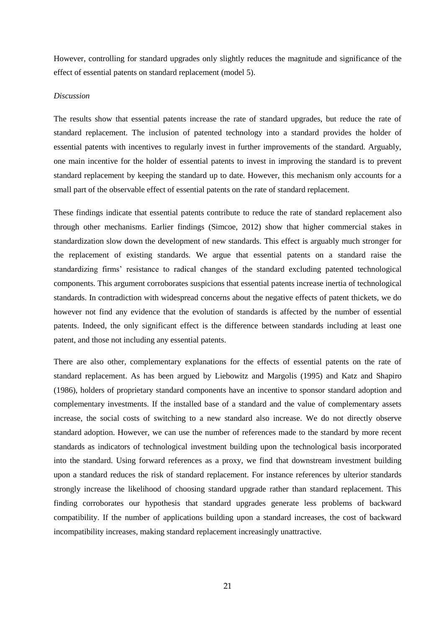However, controlling for standard upgrades only slightly reduces the magnitude and significance of the effect of essential patents on standard replacement (model 5).

#### *Discussion*

The results show that essential patents increase the rate of standard upgrades, but reduce the rate of standard replacement. The inclusion of patented technology into a standard provides the holder of essential patents with incentives to regularly invest in further improvements of the standard. Arguably, one main incentive for the holder of essential patents to invest in improving the standard is to prevent standard replacement by keeping the standard up to date. However, this mechanism only accounts for a small part of the observable effect of essential patents on the rate of standard replacement.

These findings indicate that essential patents contribute to reduce the rate of standard replacement also through other mechanisms. Earlier findings (Simcoe, 2012) show that higher commercial stakes in standardization slow down the development of new standards. This effect is arguably much stronger for the replacement of existing standards. We argue that essential patents on a standard raise the standardizing firms' resistance to radical changes of the standard excluding patented technological components. This argument corroborates suspicions that essential patents increase inertia of technological standards. In contradiction with widespread concerns about the negative effects of patent thickets, we do however not find any evidence that the evolution of standards is affected by the number of essential patents. Indeed, the only significant effect is the difference between standards including at least one patent, and those not including any essential patents.

There are also other, complementary explanations for the effects of essential patents on the rate of standard replacement. As has been argued by Liebowitz and Margolis (1995) and Katz and Shapiro (1986), holders of proprietary standard components have an incentive to sponsor standard adoption and complementary investments. If the installed base of a standard and the value of complementary assets increase, the social costs of switching to a new standard also increase. We do not directly observe standard adoption. However, we can use the number of references made to the standard by more recent standards as indicators of technological investment building upon the technological basis incorporated into the standard. Using forward references as a proxy, we find that downstream investment building upon a standard reduces the risk of standard replacement. For instance references by ulterior standards strongly increase the likelihood of choosing standard upgrade rather than standard replacement. This finding corroborates our hypothesis that standard upgrades generate less problems of backward compatibility. If the number of applications building upon a standard increases, the cost of backward incompatibility increases, making standard replacement increasingly unattractive.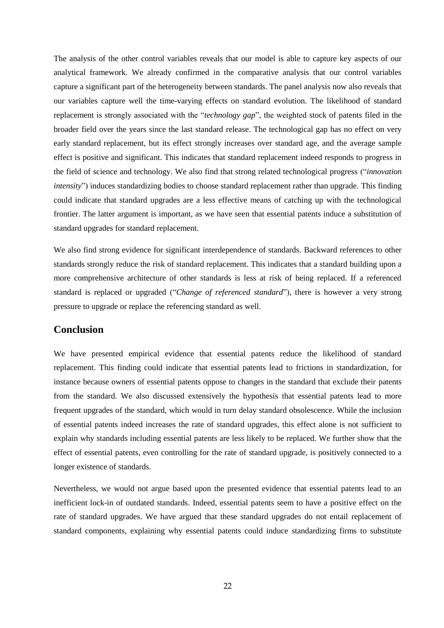The analysis of the other control variables reveals that our model is able to capture key aspects of our analytical framework. We already confirmed in the comparative analysis that our control variables capture a significant part of the heterogeneity between standards. The panel analysis now also reveals that our variables capture well the time-varying effects on standard evolution. The likelihood of standard replacement is strongly associated with the "*technology gap*", the weighted stock of patents filed in the broader field over the years since the last standard release. The technological gap has no effect on very early standard replacement, but its effect strongly increases over standard age, and the average sample effect is positive and significant. This indicates that standard replacement indeed responds to progress in the field of science and technology. We also find that strong related technological progress ("*innovation intensity*") induces standardizing bodies to choose standard replacement rather than upgrade. This finding could indicate that standard upgrades are a less effective means of catching up with the technological frontier. The latter argument is important, as we have seen that essential patents induce a substitution of standard upgrades for standard replacement.

We also find strong evidence for significant interdependence of standards. Backward references to other standards strongly reduce the risk of standard replacement. This indicates that a standard building upon a more comprehensive architecture of other standards is less at risk of being replaced. If a referenced standard is replaced or upgraded ("*Change of referenced standard*"), there is however a very strong pressure to upgrade or replace the referencing standard as well.

## **Conclusion**

We have presented empirical evidence that essential patents reduce the likelihood of standard replacement. This finding could indicate that essential patents lead to frictions in standardization, for instance because owners of essential patents oppose to changes in the standard that exclude their patents from the standard. We also discussed extensively the hypothesis that essential patents lead to more frequent upgrades of the standard, which would in turn delay standard obsolescence. While the inclusion of essential patents indeed increases the rate of standard upgrades, this effect alone is not sufficient to explain why standards including essential patents are less likely to be replaced. We further show that the effect of essential patents, even controlling for the rate of standard upgrade, is positively connected to a longer existence of standards.

Nevertheless, we would not argue based upon the presented evidence that essential patents lead to an inefficient lock-in of outdated standards. Indeed, essential patents seem to have a positive effect on the rate of standard upgrades. We have argued that these standard upgrades do not entail replacement of standard components, explaining why essential patents could induce standardizing firms to substitute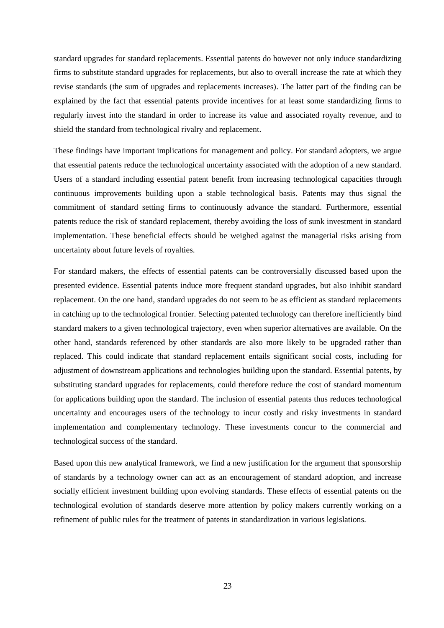standard upgrades for standard replacements. Essential patents do however not only induce standardizing firms to substitute standard upgrades for replacements, but also to overall increase the rate at which they revise standards (the sum of upgrades and replacements increases). The latter part of the finding can be explained by the fact that essential patents provide incentives for at least some standardizing firms to regularly invest into the standard in order to increase its value and associated royalty revenue, and to shield the standard from technological rivalry and replacement.

These findings have important implications for management and policy. For standard adopters, we argue that essential patents reduce the technological uncertainty associated with the adoption of a new standard. Users of a standard including essential patent benefit from increasing technological capacities through continuous improvements building upon a stable technological basis. Patents may thus signal the commitment of standard setting firms to continuously advance the standard. Furthermore, essential patents reduce the risk of standard replacement, thereby avoiding the loss of sunk investment in standard implementation. These beneficial effects should be weighed against the managerial risks arising from uncertainty about future levels of royalties.

For standard makers, the effects of essential patents can be controversially discussed based upon the presented evidence. Essential patents induce more frequent standard upgrades, but also inhibit standard replacement. On the one hand, standard upgrades do not seem to be as efficient as standard replacements in catching up to the technological frontier. Selecting patented technology can therefore inefficiently bind standard makers to a given technological trajectory, even when superior alternatives are available. On the other hand, standards referenced by other standards are also more likely to be upgraded rather than replaced. This could indicate that standard replacement entails significant social costs, including for adjustment of downstream applications and technologies building upon the standard. Essential patents, by substituting standard upgrades for replacements, could therefore reduce the cost of standard momentum for applications building upon the standard. The inclusion of essential patents thus reduces technological uncertainty and encourages users of the technology to incur costly and risky investments in standard implementation and complementary technology. These investments concur to the commercial and technological success of the standard.

Based upon this new analytical framework, we find a new justification for the argument that sponsorship of standards by a technology owner can act as an encouragement of standard adoption, and increase socially efficient investment building upon evolving standards. These effects of essential patents on the technological evolution of standards deserve more attention by policy makers currently working on a refinement of public rules for the treatment of patents in standardization in various legislations.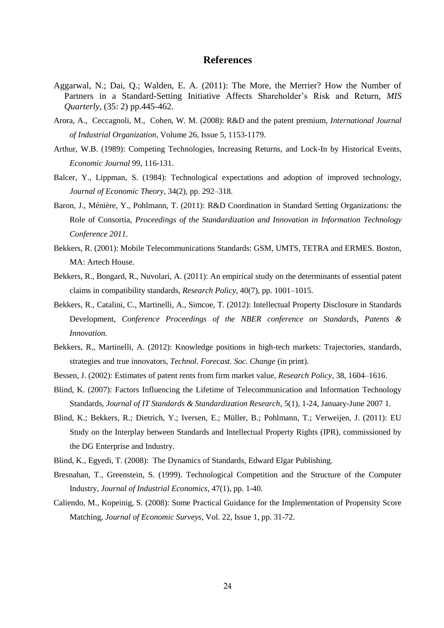## **References**

- Aggarwal, N.; Dai, Q.; Walden, E. A. (2011): The More, the Merrier? How the Number of Partners in a Standard-Setting Initiative Affects Shareholder's Risk and Return, *MIS Quarterly*, (35: 2) pp.445-462.
- Arora, A., Ceccagnoli, M., Cohen, W. M. (2008): R&D and the patent premium, *International Journal of Industrial Organization*, Volume 26, Issue 5, 1153-1179.
- Arthur, W.B. (1989): Competing Technologies, Increasing Returns, and Lock-In by Historical Events, *Economic Journal* 99, 116-131.
- Balcer, Y., Lippman, S. (1984): Technological expectations and adoption of improved technology, *Journal of Economic Theory*, 34(2), pp. 292–318.
- Baron, J., Ménière, Y., Pohlmann, T. (2011): R&D Coordination in Standard Setting Organizations: the Role of Consortia, *Proceedings of the Standardization and Innovation in Information Technology Conference 2011.*
- Bekkers, R. (2001): Mobile Telecommunications Standards: GSM, UMTS, TETRA and ERMES. Boston, MA: Artech House.
- Bekkers, R., Bongard, R., Nuvolari, A. (2011): An empirical study on the determinants of essential patent claims in compatibility standards, *Research Policy*, 40(7), pp. 1001–1015.
- Bekkers, R., Catalini, C., Martinelli, A., Simcoe, T. (2012): Intellectual Property Disclosure in Standards Development, *Conference Proceedings of the NBER conference on Standards, Patents & Innovation.*
- Bekkers, R., Martinelli, A. (2012): Knowledge positions in high-tech markets: Trajectories, standards, strategies and true innovators, *Technol. Forecast. Soc. Change* (in print).
- Bessen, J. (2002): Estimates of patent rents from firm market value, *Research Policy*, 38, 1604–1616.
- Blind, K. (2007): Factors Influencing the Lifetime of Telecommunication and Information Technology Standards, *Journal of IT Standards & Standardization Research*, 5(1), 1-24, January-June 2007 1.
- Blind, K.; Bekkers, R.; Dietrich, Y.; Iversen, E.; Müller, B.; Pohlmann, T.; Verweijen, J. (2011): EU Study on the Interplay between Standards and Intellectual Property Rights (IPR), commissioned by the DG Enterprise and Industry.
- Blind, K., Egyedi, T. (2008): The Dynamics of Standards, Edward Elgar Publishing.
- Bresnahan, T., Greenstein, S. (1999). Technological Competition and the Structure of the Computer Industry, *Journal of Industrial Economics*, 47(1), pp. 1-40.
- Caliendo, M., Kopeinig, S. (2008): Some Practical Guidance for the Implementation of Propensity Score Matching, *Journal of Economic Surveys*, Vol. 22, Issue 1, pp. 31-72.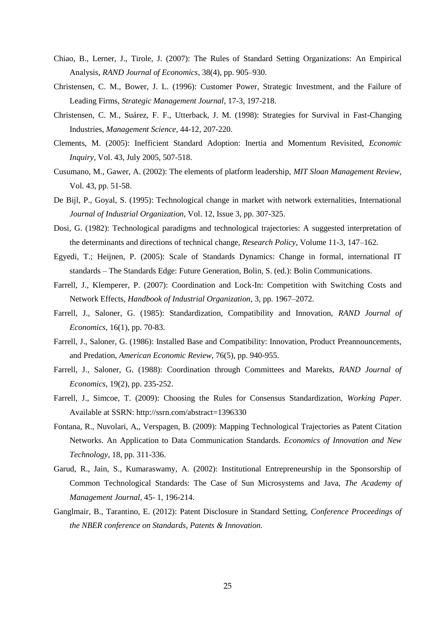- Chiao, B., Lerner, J., Tirole, J. (2007): The Rules of Standard Setting Organizations: An Empirical Analysis, *RAND Journal of Economics*, 38(4), pp. 905–930.
- Christensen, C. M., Bower, J. L. (1996): Customer Power, Strategic Investment, and the Failure of Leading Firms, *Strategic Management Journal*, 17-3, 197-218.
- Christensen, C. M., Suárez, F. F., Utterback, J. M. (1998): Strategies for Survival in Fast-Changing Industries, *Management Science*, 44-12, 207-220.
- Clements, M. (2005): Inefficient Standard Adoption: Inertia and Momentum Revisited, *Economic Inquiry*, Vol. 43, July 2005, 507-518.
- Cusumano, M., Gawer, A. (2002): The elements of platform leadership, *MIT Sloan Management Review*, Vol. 43, pp. 51-58.
- De Bijl, P., Goyal, S. (1995): Technological change in market with network externalities, International *Journal of Industrial Organization*, Vol. 12, Issue 3, pp. 307-325.
- Dosi, G. (1982): Technological paradigms and technological trajectories: A suggested interpretation of the determinants and directions of technical change, *Research Policy*, Volume 11-3, 147–162.
- Egyedi, T.; Heijnen, P. (2005): Scale of Standards Dynamics: Change in formal, international IT standards – The Standards Edge: Future Generation, Bolin, S. (ed.): Bolin Communications.
- Farrell, J., Klemperer, P. (2007): Coordination and Lock-In: Competition with Switching Costs and Network Effects, *Handbook of Industrial Organization*, 3, pp. 1967–2072.
- Farrell, J., Saloner, G. (1985): Standardization, Compatibility and Innovation, *RAND Journal of Economics*, 16(1), pp. 70-83.
- Farrell, J., Saloner, G. (1986): Installed Base and Compatibility: Innovation, Product Preannouncements, and Predation, *American Economic Review*, 76(5), pp. 940-955.
- Farrell, J., Saloner, G. (1988): Coordination through Committees and Marekts, *RAND Journal of Economics*, 19(2), pp. 235-252.
- Farrell, J., Simcoe, T. (2009): Choosing the Rules for Consensus Standardization, *Working Paper*. Available at SSRN: http://ssrn.com/abstract=1396330
- Fontana, R., Nuvolari, A,, Verspagen, B. (2009): Mapping Technological Trajectories as Patent Citation Networks. An Application to Data Communication Standards. *Economics of Innovation and New Technology*, 18, pp. 311-336.
- Garud, R., Jain, S., Kumaraswamy, A. (2002): Institutional Entrepreneurship in the Sponsorship of Common Technological Standards: The Case of Sun Microsystems and Java, *The Academy of Management Journal*, 45- 1, 196-214.
- Ganglmair, B., Tarantino, E. (2012): Patent Disclosure in Standard Setting, *Conference Proceedings of the NBER conference on Standards, Patents & Innovation.*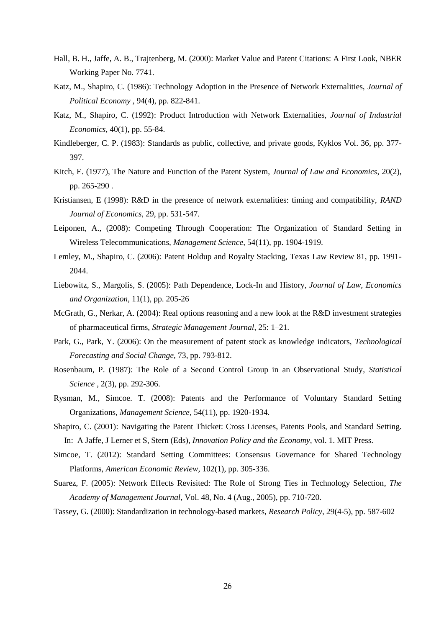- Hall, B. H., Jaffe, A. B., Trajtenberg, M. (2000): Market Value and Patent Citations: A First Look, NBER Working Paper No. 7741.
- Katz, M., Shapiro, C. (1986): Technology Adoption in the Presence of Network Externalities, *Journal of Political Economy* , 94(4), pp. 822-841.
- Katz, M., Shapiro, C. (1992): Product Introduction with Network Externalities, *Journal of Industrial Economics*, 40(1), pp. 55-84.
- Kindleberger, C. P. (1983): Standards as public, collective, and private goods, Kyklos Vol. 36, pp. 377- 397.
- Kitch, E. (1977), The Nature and Function of the Patent System, *Journal of Law and Economics*, 20(2), pp. 265-290 .
- Kristiansen, E (1998): R&D in the presence of network externalities: timing and compatibility, *RAND Journal of Economics*, 29, pp. 531-547.
- Leiponen, A., (2008): Competing Through Cooperation: The Organization of Standard Setting in Wireless Telecommunications, *Management Science*, 54(11), pp. 1904-1919.
- Lemley, M., Shapiro, C. (2006): Patent Holdup and Royalty Stacking, Texas Law Review 81, pp. 1991- 2044.
- Liebowitz, S., Margolis, S. (2005): Path Dependence, Lock-In and History, *Journal of Law, Economics and Organization*, 11(1), pp. 205-26
- McGrath, G., Nerkar, A. (2004): Real options reasoning and a new look at the R&D investment strategies of pharmaceutical firms, *Strategic Management Journal*, 25: 1–21.
- Park, G., Park, Y. (2006): On the measurement of patent stock as knowledge indicators, *Technological Forecasting and Social Change,* 73, pp. 793-812.
- Rosenbaum, P. (1987): The Role of a Second Control Group in an Observational Study, *Statistical Science* , 2(3), pp. 292-306.
- Rysman, M., Simcoe. T. (2008): Patents and the Performance of Voluntary Standard Setting Organizations, *Management Science*, 54(11), pp. 1920-1934.
- Shapiro, C. (2001): Navigating the Patent Thicket: Cross Licenses, Patents Pools, and Standard Setting. In: A Jaffe, J Lerner et S, Stern (Eds), *Innovation Policy and the Economy*, vol. 1. MIT Press.
- Simcoe, T. (2012): Standard Setting Committees: Consensus Governance for Shared Technology Platforms, *American Economic Review*, 102(1), pp. 305-336.
- Suarez, F. (2005): Network Effects Revisited: The Role of Strong Ties in Technology Selection, *The Academy of Management Journal*, Vol. 48, No. 4 (Aug., 2005), pp. 710-720.
- Tassey, G. (2000): Standardization in technology-based markets, *Research Policy*, 29(4-5), pp. 587-602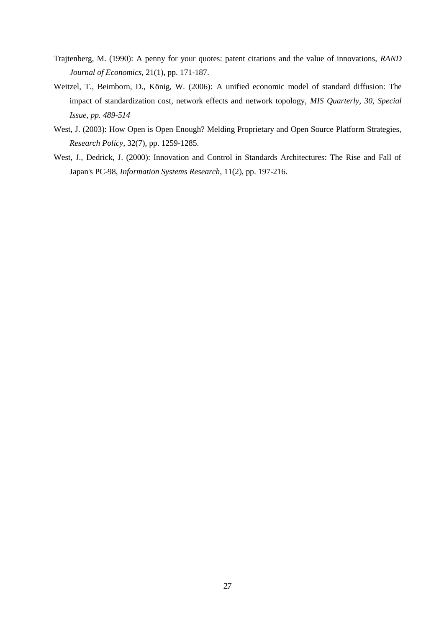- Trajtenberg, M. (1990): A penny for your quotes: patent citations and the value of innovations, *RAND Journal of Economics*, 21(1), pp. 171-187.
- Weitzel, T., Beimborn, D., König, W. (2006): A unified economic model of standard diffusion: The impact of standardization cost, network effects and network topology, *MIS Quarterly, 30, Special Issue, pp. 489-514*
- West, J. (2003): How Open is Open Enough? Melding Proprietary and Open Source Platform Strategies, *Research Policy,* 32(7), pp. 1259-1285.
- West, J., Dedrick, J. (2000): Innovation and Control in Standards Architectures: The Rise and Fall of Japan's PC-98, *Information Systems Research*, 11(2), pp. 197-216.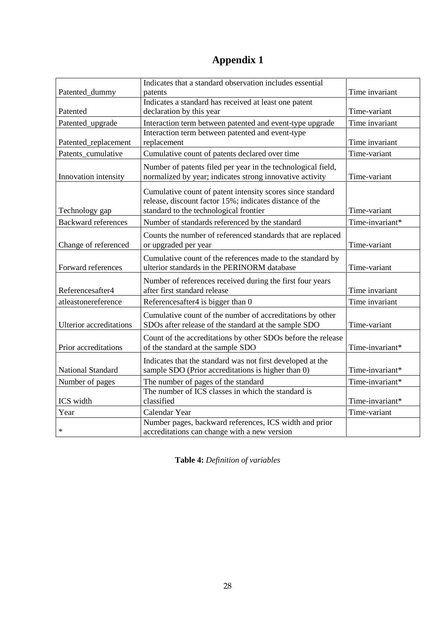## **Appendix 1**

|                                | Indicates that a standard observation includes essential                                                                                                        |                 |
|--------------------------------|-----------------------------------------------------------------------------------------------------------------------------------------------------------------|-----------------|
| Patented_dummy                 | patents                                                                                                                                                         | Time invariant  |
|                                | Indicates a standard has received at least one patent                                                                                                           |                 |
| Patented                       | declaration by this year                                                                                                                                        | Time-variant    |
| Patented_upgrade               | Interaction term between patented and event-type upgrade                                                                                                        | Time invariant  |
|                                | Interaction term between patented and event-type                                                                                                                |                 |
| Patented_replacement           | replacement                                                                                                                                                     | Time invariant  |
| Patents_cumulative             | Cumulative count of patents declared over time                                                                                                                  | Time-variant    |
| Innovation intensity           | Number of patents filed per year in the technological field,<br>normalized by year; indicates strong innovative activity                                        | Time-variant    |
| Technology gap                 | Cumulative count of patent intensity scores since standard<br>release, discount factor 15%; indicates distance of the<br>standard to the technological frontier | Time-variant    |
| <b>Backward references</b>     | Number of standards referenced by the standard                                                                                                                  | Time-invariant* |
|                                | Counts the number of referenced standards that are replaced                                                                                                     |                 |
| Change of referenced           | or upgraded per year                                                                                                                                            | Time-variant    |
| Forward references             | Cumulative count of the references made to the standard by<br>ulterior standards in the PERINORM database                                                       | Time-variant    |
| Referencesafter4               | Number of references received during the first four years<br>after first standard release                                                                       | Time invariant  |
| atleastonereference            | References after 4 is bigger than 0                                                                                                                             | Time invariant  |
| <b>Ulterior</b> accreditations | Cumulative count of the number of accreditations by other<br>SDOs after release of the standard at the sample SDO                                               | Time-variant    |
| Prior accreditations           | Count of the accreditations by other SDOs before the release<br>of the standard at the sample SDO                                                               | Time-invariant* |
| <b>National Standard</b>       | Indicates that the standard was not first developed at the<br>sample SDO (Prior accreditations is higher than 0)                                                | Time-invariant* |
| Number of pages                | The number of pages of the standard                                                                                                                             | Time-invariant* |
|                                | The number of ICS classes in which the standard is                                                                                                              |                 |
| ICS width                      | classified                                                                                                                                                      | Time-invariant* |
| Year                           | Calendar Year                                                                                                                                                   | Time-variant    |
| $\ast$                         | Number pages, backward references, ICS width and prior<br>accreditations can change with a new version                                                          |                 |

**Table 4:** *Definition of variables*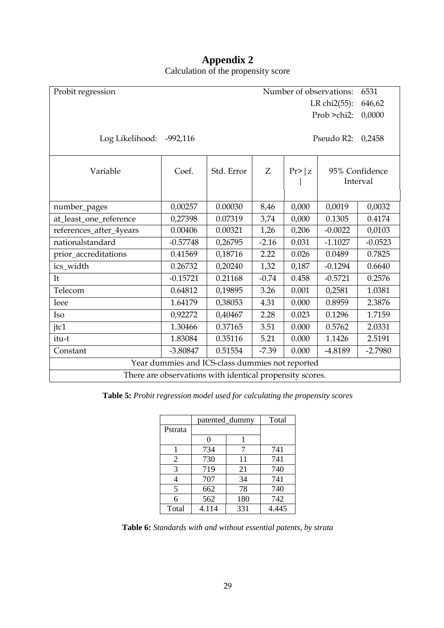## **Appendix 2** Calculation of the propensity score

| Number of observations:<br>Probit regression<br>6531     |                                                                   |            |             |          |            |                |  |  |  |
|----------------------------------------------------------|-------------------------------------------------------------------|------------|-------------|----------|------------|----------------|--|--|--|
|                                                          |                                                                   | 646,62     |             |          |            |                |  |  |  |
|                                                          |                                                                   |            | Prob >chi2: | 0,0000   |            |                |  |  |  |
|                                                          |                                                                   |            |             |          |            |                |  |  |  |
| Log Likelihood:                                          | $-992,116$                                                        |            |             |          | Pseudo R2: | 0,2458         |  |  |  |
|                                                          |                                                                   |            |             |          |            |                |  |  |  |
| Variable                                                 | Coef.                                                             | Std. Error | Z           | $Pr$   z |            | 95% Confidence |  |  |  |
|                                                          |                                                                   |            |             |          |            | Interval       |  |  |  |
|                                                          |                                                                   |            |             |          |            |                |  |  |  |
| number_pages                                             | 0,00257                                                           | 0.00030    | 8,46        | 0,000    | 0,0019     | 0,0032         |  |  |  |
| at_least_one_reference                                   | 0,27398                                                           | 0.07319    | 3,74        | 0,000    | 0.1305     | 0.4174         |  |  |  |
| references_after_4years                                  | 0.00406                                                           | 0.00321    | 1,26        | 0,206    | $-0.0022$  | 0,0103         |  |  |  |
| nationalstandard                                         | $-0.57748$                                                        | 0,26795    | $-2.16$     | 0.031    | $-1.1027$  | $-0.0523$      |  |  |  |
| prior_accreditations                                     | 0.41569                                                           | 0,18716    | 2.22        | 0.026    | 0.0489     | 0.7825         |  |  |  |
| ics_width                                                | 0.26732                                                           | 0,20240    | 1,32        | 0,187    | $-0.1294$  | 0.6640         |  |  |  |
| It                                                       | $-0.15721$                                                        | 0.21168    | $-0.74$     | 0.458    | $-0.5721$  | 0.2576         |  |  |  |
| Telecom                                                  | 0.64812                                                           | 0,19895    | 3.26        | 0.001    | 0,2581     | 1.0381         |  |  |  |
| <b>Ieee</b>                                              | 1.64179                                                           | 0,38053    | 4.31        | 0.000    | 0.8959     | 2.3876         |  |  |  |
| <b>Iso</b>                                               | 0,92272                                                           | 0,40467    | 2.28        | 0.023    | 0.1296     | 1.7159         |  |  |  |
| jtc1                                                     | 1.30466                                                           | 0.37165    | 3.51        | 0.000    | 0.5762     | 2.0331         |  |  |  |
| itu-t                                                    | 1.83084                                                           | 0.35116    | 5.21        | 0.000    | 1.1426     | 2.5191         |  |  |  |
| Constant                                                 | $-3.80847$<br>0.51554<br>$-7.39$<br>$-2.7980$<br>0.000<br>-4.8189 |            |             |          |            |                |  |  |  |
| Year dummies and ICS-class dummies not reported          |                                                                   |            |             |          |            |                |  |  |  |
| There are observations with identical propensity scores. |                                                                   |            |             |          |            |                |  |  |  |

**Table 5:** *Probit regression model used for calculating the propensity scores*

|                | patented_dummy | Total |       |
|----------------|----------------|-------|-------|
| Pstrata        |                |       |       |
|                | 0              | 1     |       |
| 1              | 734            | 7     | 741   |
| $\overline{2}$ | 730            | 11    | 741   |
| 3              | 719            | 21    | 740   |
|                | 707            | 34    | 741   |
| 5              | 662            | 78    | 740   |
| 6              | 562            | 180   | 742   |
| Total          | 4.114          | 331   | 4.445 |

**Table 6:** *Standards with and without essential patents, by strata*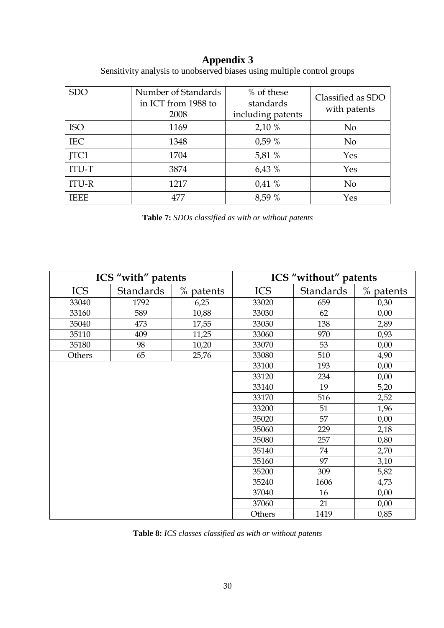## **Appendix 3**

Sensitivity analysis to unobserved biases using multiple control groups

| <b>SDO</b>   | Number of Standards<br>in ICT from 1988 to<br>2008 | % of these<br>standards<br>including patents | Classified as SDO<br>with patents |
|--------------|----------------------------------------------------|----------------------------------------------|-----------------------------------|
| <b>ISO</b>   | 1169                                               | 2,10%                                        | No                                |
| <b>IEC</b>   | 1348                                               | 0,59%                                        | N <sub>o</sub>                    |
| ITC1         | 1704                                               | 5,81 %                                       | Yes                               |
| <b>ITU-T</b> | 3874                                               | 6,43%                                        | Yes                               |
| <b>ITU-R</b> | 1217                                               | 0.41%                                        | N <sub>0</sub>                    |
| <b>IEEE</b>  | 477                                                | 8,59 %                                       | Yes                               |

**Table 7:** *SDOs classified as with or without patents*

|            | ICS "with" patents |           |            | ICS "without" patents |           |  |  |
|------------|--------------------|-----------|------------|-----------------------|-----------|--|--|
| <b>ICS</b> | <b>Standards</b>   | % patents | <b>ICS</b> | <b>Standards</b>      | % patents |  |  |
| 33040      | 1792               | 6,25      | 33020      | 659                   | 0,30      |  |  |
| 33160      | 589                | 10,88     | 33030      | 62                    | 0,00      |  |  |
| 35040      | 473                | 17,55     | 33050      | 138                   | 2,89      |  |  |
| 35110      | 409                | 11,25     | 33060      | 970                   | 0,93      |  |  |
| 35180      | 98                 | 10,20     | 33070      | 53                    | 0,00      |  |  |
| Others     | 65                 | 25,76     | 33080      | 510                   | 4,90      |  |  |
|            |                    |           | 33100      | 193                   | 0,00      |  |  |
|            |                    |           | 33120      | 234                   | 0,00      |  |  |
|            |                    |           | 33140      | 19                    | 5,20      |  |  |
|            |                    |           | 33170      | 516                   | 2,52      |  |  |
|            |                    |           | 33200      | 51                    | 1,96      |  |  |
|            |                    |           | 35020      | 57                    | 0,00      |  |  |
|            |                    |           | 35060      | 229                   | 2,18      |  |  |
|            |                    |           | 35080      | 257                   | 0,80      |  |  |
|            |                    |           | 35140      | 74                    | 2,70      |  |  |
|            |                    |           | 35160      | 97                    | 3,10      |  |  |
|            |                    |           | 35200      | 309                   | 5,82      |  |  |
|            |                    |           | 35240      | 1606                  | 4,73      |  |  |
|            |                    |           | 37040      | 16                    | 0,00      |  |  |
|            |                    |           | 37060      | 21                    | 0,00      |  |  |
|            |                    |           | Others     | 1419                  | 0,85      |  |  |

| Table 8: ICS classes classified as with or without patents |  |
|------------------------------------------------------------|--|
|------------------------------------------------------------|--|